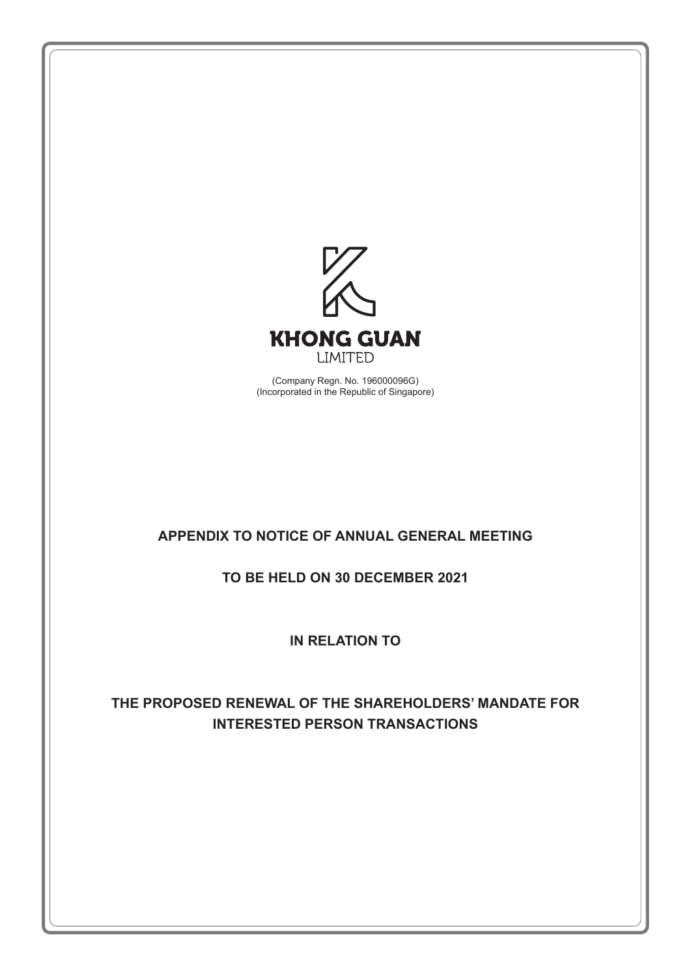

(Company Regn. No. 196000096G) (Incorporated in the Republic of Singapore)

# **APPENDIX TO NOTICE OF ANNUAL GENERAL MEETING**

# **TO BE HELD ON 30 DECEMBER 2021**

**IN RELATION TO**

# **THE PROPOSED RENEWAL OF THE SHAREHOLDERS' MANDATE FOR INTERESTED PERSON TRANSACTIONS**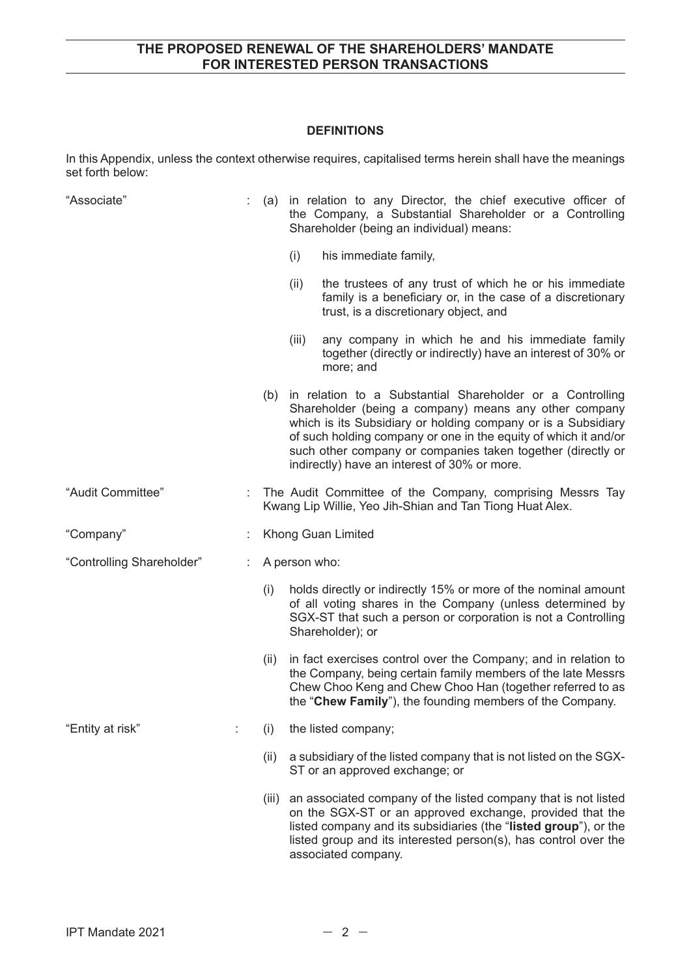#### **DEFINITIONS**

In this Appendix, unless the context otherwise requires, capitalised terms herein shall have the meanings set forth below:

| "Associate"               |      | (a) in relation to any Director, the chief executive officer of<br>the Company, a Substantial Shareholder or a Controlling<br>Shareholder (being an individual) means:                                                                                                                                                                                                    |
|---------------------------|------|---------------------------------------------------------------------------------------------------------------------------------------------------------------------------------------------------------------------------------------------------------------------------------------------------------------------------------------------------------------------------|
|                           |      | (i)<br>his immediate family,                                                                                                                                                                                                                                                                                                                                              |
|                           |      | the trustees of any trust of which he or his immediate<br>(ii)<br>family is a beneficiary or, in the case of a discretionary<br>trust, is a discretionary object, and                                                                                                                                                                                                     |
|                           |      | any company in which he and his immediate family<br>(iii)<br>together (directly or indirectly) have an interest of 30% or<br>more; and                                                                                                                                                                                                                                    |
|                           |      | (b) in relation to a Substantial Shareholder or a Controlling<br>Shareholder (being a company) means any other company<br>which is its Subsidiary or holding company or is a Subsidiary<br>of such holding company or one in the equity of which it and/or<br>such other company or companies taken together (directly or<br>indirectly) have an interest of 30% or more. |
| "Audit Committee"         |      | The Audit Committee of the Company, comprising Messrs Tay<br>Kwang Lip Willie, Yeo Jih-Shian and Tan Tiong Huat Alex.                                                                                                                                                                                                                                                     |
| "Company"                 |      | Khong Guan Limited                                                                                                                                                                                                                                                                                                                                                        |
| "Controlling Shareholder" |      | A person who:                                                                                                                                                                                                                                                                                                                                                             |
|                           | (i)  | holds directly or indirectly 15% or more of the nominal amount<br>of all voting shares in the Company (unless determined by<br>SGX-ST that such a person or corporation is not a Controlling<br>Shareholder); or                                                                                                                                                          |
|                           | (ii) | in fact exercises control over the Company; and in relation to<br>the Company, being certain family members of the late Messrs<br>Chew Choo Keng and Chew Choo Han (together referred to as<br>the "Chew Family"), the founding members of the Company.                                                                                                                   |
| "Entity at risk"          | (i)  | the listed company;                                                                                                                                                                                                                                                                                                                                                       |
|                           | (ii) | a subsidiary of the listed company that is not listed on the SGX-<br>ST or an approved exchange; or                                                                                                                                                                                                                                                                       |
|                           |      | (iii) an associated company of the listed company that is not listed<br>on the SGX-ST or an approved exchange, provided that the<br>listed company and its subsidiaries (the "listed group"), or the<br>listed group and its interested person(s), has control over the<br>associated company.                                                                            |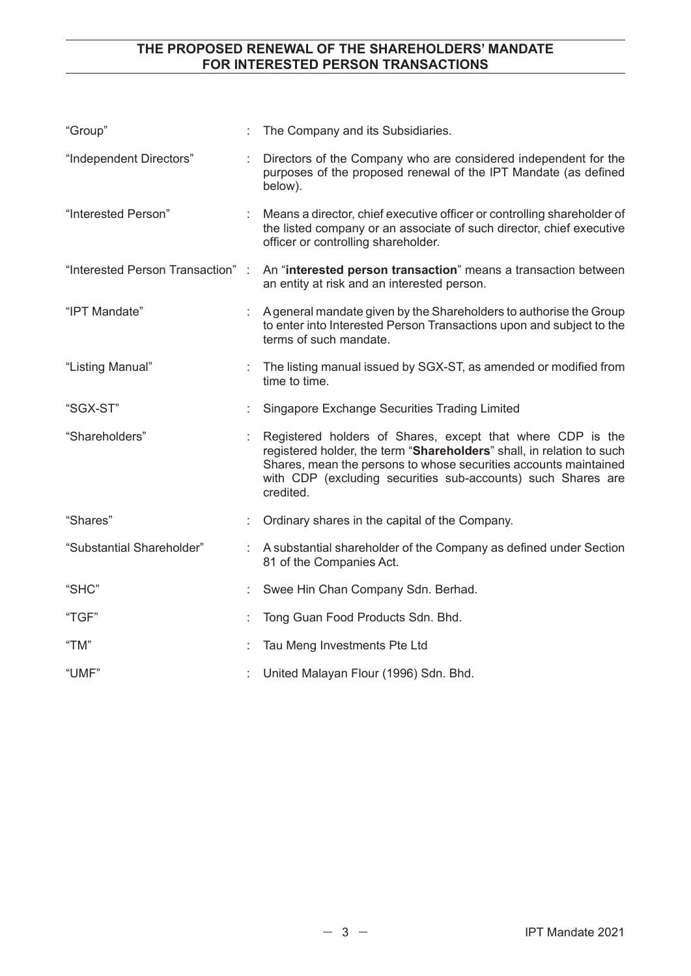| "Group"                           | The Company and its Subsidiaries.                                                                                                                                                                                                                                                    |
|-----------------------------------|--------------------------------------------------------------------------------------------------------------------------------------------------------------------------------------------------------------------------------------------------------------------------------------|
| "Independent Directors"           | Directors of the Company who are considered independent for the<br>purposes of the proposed renewal of the IPT Mandate (as defined<br>below).                                                                                                                                        |
| "Interested Person"               | Means a director, chief executive officer or controlling shareholder of<br>the listed company or an associate of such director, chief executive<br>officer or controlling shareholder.                                                                                               |
| "Interested Person Transaction" : | An "interested person transaction" means a transaction between<br>an entity at risk and an interested person.                                                                                                                                                                        |
| "IPT Mandate"                     | A general mandate given by the Shareholders to authorise the Group<br>to enter into Interested Person Transactions upon and subject to the<br>terms of such mandate.                                                                                                                 |
| "Listing Manual"                  | The listing manual issued by SGX-ST, as amended or modified from<br>time to time.                                                                                                                                                                                                    |
| "SGX-ST"                          | Singapore Exchange Securities Trading Limited                                                                                                                                                                                                                                        |
| "Shareholders"                    | Registered holders of Shares, except that where CDP is the<br>registered holder, the term "Shareholders" shall, in relation to such<br>Shares, mean the persons to whose securities accounts maintained<br>with CDP (excluding securities sub-accounts) such Shares are<br>credited. |
| "Shares"                          | Ordinary shares in the capital of the Company.                                                                                                                                                                                                                                       |
| "Substantial Shareholder"         | A substantial shareholder of the Company as defined under Section<br>81 of the Companies Act.                                                                                                                                                                                        |
| "SHC"                             | Swee Hin Chan Company Sdn. Berhad.                                                                                                                                                                                                                                                   |
| "TGF"                             | Tong Guan Food Products Sdn. Bhd.                                                                                                                                                                                                                                                    |
| "TM"                              | Tau Meng Investments Pte Ltd                                                                                                                                                                                                                                                         |
| "UMF"                             | United Malayan Flour (1996) Sdn. Bhd.                                                                                                                                                                                                                                                |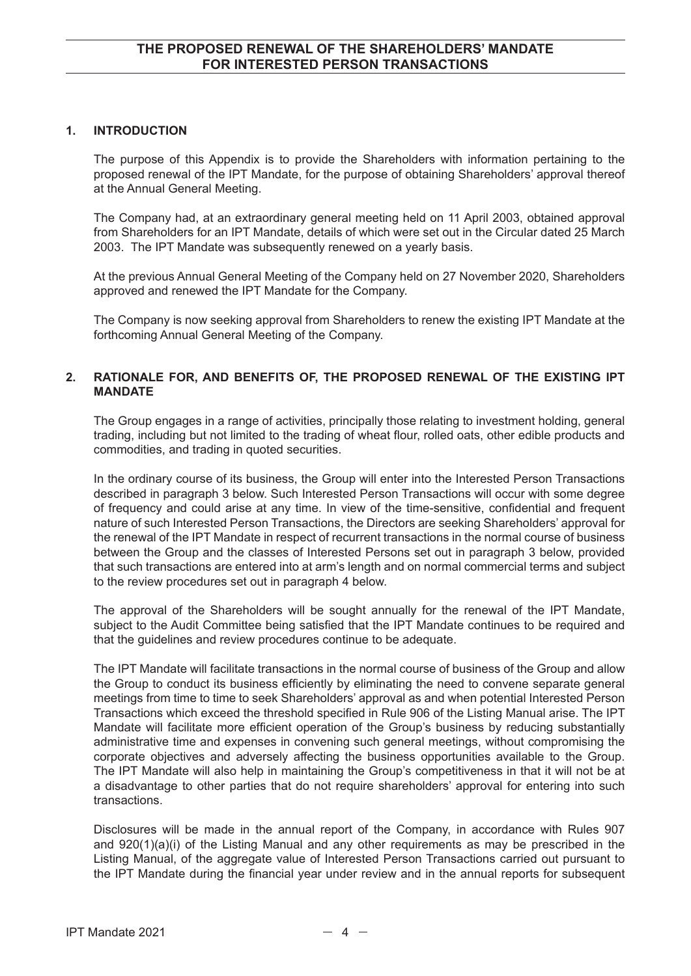#### **1. INTRODUCTION**

The purpose of this Appendix is to provide the Shareholders with information pertaining to the proposed renewal of the IPT Mandate, for the purpose of obtaining Shareholders' approval thereof at the Annual General Meeting.

The Company had, at an extraordinary general meeting held on 11 April 2003, obtained approval from Shareholders for an IPT Mandate, details of which were set out in the Circular dated 25 March 2003. The IPT Mandate was subsequently renewed on a yearly basis.

At the previous Annual General Meeting of the Company held on 27 November 2020, Shareholders approved and renewed the IPT Mandate for the Company.

The Company is now seeking approval from Shareholders to renew the existing IPT Mandate at the forthcoming Annual General Meeting of the Company.

### **2. RATIONALE FOR, AND BENEFITS OF, THE PROPOSED RENEWAL OF THE EXISTING IPT MANDATE**

The Group engages in a range of activities, principally those relating to investment holding, general trading, including but not limited to the trading of wheat flour, rolled oats, other edible products and commodities, and trading in quoted securities.

In the ordinary course of its business, the Group will enter into the Interested Person Transactions described in paragraph 3 below. Such Interested Person Transactions will occur with some degree of frequency and could arise at any time. In view of the time-sensitive, confidential and frequent nature of such Interested Person Transactions, the Directors are seeking Shareholders' approval for the renewal of the IPT Mandate in respect of recurrent transactions in the normal course of business between the Group and the classes of Interested Persons set out in paragraph 3 below, provided that such transactions are entered into at arm's length and on normal commercial terms and subject to the review procedures set out in paragraph 4 below.

The approval of the Shareholders will be sought annually for the renewal of the IPT Mandate, subject to the Audit Committee being satisfied that the IPT Mandate continues to be required and that the guidelines and review procedures continue to be adequate.

The IPT Mandate will facilitate transactions in the normal course of business of the Group and allow the Group to conduct its business efficiently by eliminating the need to convene separate general meetings from time to time to seek Shareholders' approval as and when potential Interested Person Transactions which exceed the threshold specified in Rule 906 of the Listing Manual arise. The IPT Mandate will facilitate more efficient operation of the Group's business by reducing substantially administrative time and expenses in convening such general meetings, without compromising the corporate objectives and adversely affecting the business opportunities available to the Group. The IPT Mandate will also help in maintaining the Group's competitiveness in that it will not be at a disadvantage to other parties that do not require shareholders' approval for entering into such transactions.

Disclosures will be made in the annual report of the Company, in accordance with Rules 907 and 920(1)(a)(i) of the Listing Manual and any other requirements as may be prescribed in the Listing Manual, of the aggregate value of Interested Person Transactions carried out pursuant to the IPT Mandate during the financial year under review and in the annual reports for subsequent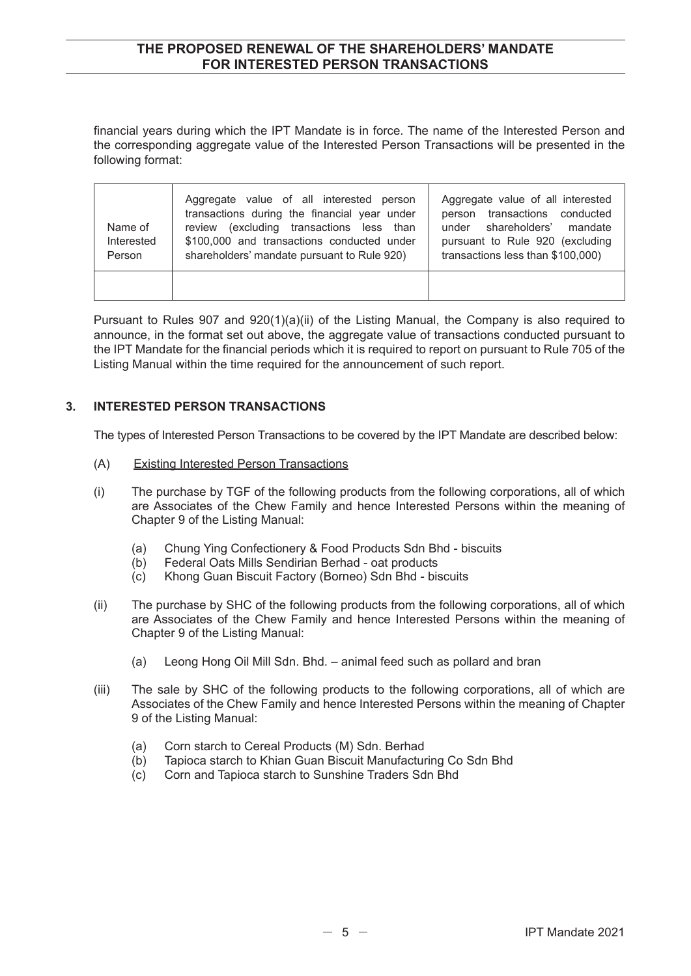financial years during which the IPT Mandate is in force. The name of the Interested Person and the corresponding aggregate value of the Interested Person Transactions will be presented in the following format:

| Name of<br>Interested<br>Person | Aggregate value of all interested person<br>transactions during the financial year under<br>review (excluding transactions less than<br>\$100,000 and transactions conducted under<br>shareholders' mandate pursuant to Rule 920) | Aggregate value of all interested<br>person transactions conducted<br>under shareholders' mandate<br>pursuant to Rule 920 (excluding<br>transactions less than \$100,000) |
|---------------------------------|-----------------------------------------------------------------------------------------------------------------------------------------------------------------------------------------------------------------------------------|---------------------------------------------------------------------------------------------------------------------------------------------------------------------------|
|                                 |                                                                                                                                                                                                                                   |                                                                                                                                                                           |

Pursuant to Rules 907 and 920(1)(a)(ii) of the Listing Manual, the Company is also required to announce, in the format set out above, the aggregate value of transactions conducted pursuant to the IPT Mandate for the financial periods which it is required to report on pursuant to Rule 705 of the Listing Manual within the time required for the announcement of such report.

#### **3. INTERESTED PERSON TRANSACTIONS**

The types of Interested Person Transactions to be covered by the IPT Mandate are described below:

- (A) Existing Interested Person Transactions
- (i) The purchase by TGF of the following products from the following corporations, all of which are Associates of the Chew Family and hence Interested Persons within the meaning of Chapter 9 of the Listing Manual:
	- (a) Chung Ying Confectionery & Food Products Sdn Bhd biscuits
	- (b) Federal Oats Mills Sendirian Berhad oat products
	- (c) Khong Guan Biscuit Factory (Borneo) Sdn Bhd biscuits
- (ii) The purchase by SHC of the following products from the following corporations, all of which are Associates of the Chew Family and hence Interested Persons within the meaning of Chapter 9 of the Listing Manual:
	- (a) Leong Hong Oil Mill Sdn. Bhd. animal feed such as pollard and bran
- (iii) The sale by SHC of the following products to the following corporations, all of which are Associates of the Chew Family and hence Interested Persons within the meaning of Chapter 9 of the Listing Manual:
	- (a) Corn starch to Cereal Products (M) Sdn. Berhad
	- (b) Tapioca starch to Khian Guan Biscuit Manufacturing Co Sdn Bhd
	- (c) Corn and Tapioca starch to Sunshine Traders Sdn Bhd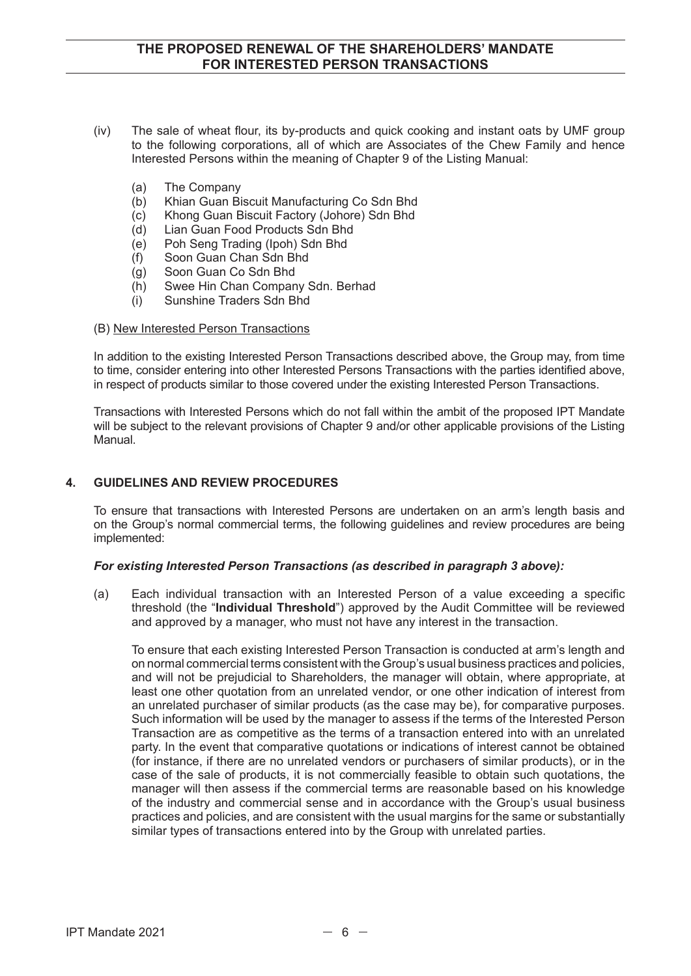- (iv) The sale of wheat flour, its by-products and quick cooking and instant oats by UMF group to the following corporations, all of which are Associates of the Chew Family and hence Interested Persons within the meaning of Chapter 9 of the Listing Manual:
	- (a) The Company
	- (b) Khian Guan Biscuit Manufacturing Co Sdn Bhd
	- (c) Khong Guan Biscuit Factory (Johore) Sdn Bhd
	- (d) Lian Guan Food Products Sdn Bhd
	- (e) Poh Seng Trading (Ipoh) Sdn Bhd
	- (f) Soon Guan Chan Sdn Bhd
	- (g) Soon Guan Co Sdn Bhd
	- (h) Swee Hin Chan Company Sdn. Berhad
	- (i) Sunshine Traders Sdn Bhd
- (B) New Interested Person Transactions

In addition to the existing Interested Person Transactions described above, the Group may, from time to time, consider entering into other Interested Persons Transactions with the parties identified above, in respect of products similar to those covered under the existing Interested Person Transactions.

Transactions with Interested Persons which do not fall within the ambit of the proposed IPT Mandate will be subject to the relevant provisions of Chapter 9 and/or other applicable provisions of the Listing Manual.

#### **4. GUIDELINES AND REVIEW PROCEDURES**

To ensure that transactions with Interested Persons are undertaken on an arm's length basis and on the Group's normal commercial terms, the following guidelines and review procedures are being implemented:

#### *For existing Interested Person Transactions (as described in paragraph 3 above):*

(a) Each individual transaction with an Interested Person of a value exceeding a specific threshold (the "**Individual Threshold**") approved by the Audit Committee will be reviewed and approved by a manager, who must not have any interest in the transaction.

 To ensure that each existing Interested Person Transaction is conducted at arm's length and on normal commercial terms consistent with the Group's usual business practices and policies, and will not be prejudicial to Shareholders, the manager will obtain, where appropriate, at least one other quotation from an unrelated vendor, or one other indication of interest from an unrelated purchaser of similar products (as the case may be), for comparative purposes. Such information will be used by the manager to assess if the terms of the Interested Person Transaction are as competitive as the terms of a transaction entered into with an unrelated party. In the event that comparative quotations or indications of interest cannot be obtained (for instance, if there are no unrelated vendors or purchasers of similar products), or in the case of the sale of products, it is not commercially feasible to obtain such quotations, the manager will then assess if the commercial terms are reasonable based on his knowledge of the industry and commercial sense and in accordance with the Group's usual business practices and policies, and are consistent with the usual margins for the same or substantially similar types of transactions entered into by the Group with unrelated parties.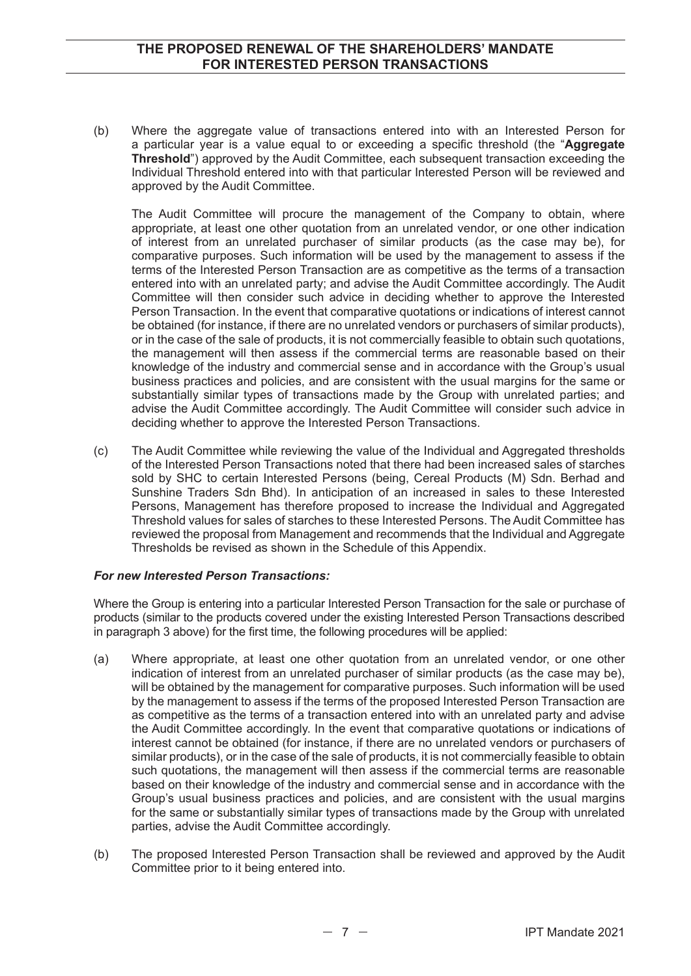(b) Where the aggregate value of transactions entered into with an Interested Person for a particular year is a value equal to or exceeding a specific threshold (the "**Aggregate Threshold**") approved by the Audit Committee, each subsequent transaction exceeding the Individual Threshold entered into with that particular Interested Person will be reviewed and approved by the Audit Committee.

 The Audit Committee will procure the management of the Company to obtain, where appropriate, at least one other quotation from an unrelated vendor, or one other indication of interest from an unrelated purchaser of similar products (as the case may be), for comparative purposes. Such information will be used by the management to assess if the terms of the Interested Person Transaction are as competitive as the terms of a transaction entered into with an unrelated party; and advise the Audit Committee accordingly. The Audit Committee will then consider such advice in deciding whether to approve the Interested Person Transaction. In the event that comparative quotations or indications of interest cannot be obtained (for instance, if there are no unrelated vendors or purchasers of similar products), or in the case of the sale of products, it is not commercially feasible to obtain such quotations, the management will then assess if the commercial terms are reasonable based on their knowledge of the industry and commercial sense and in accordance with the Group's usual business practices and policies, and are consistent with the usual margins for the same or substantially similar types of transactions made by the Group with unrelated parties; and advise the Audit Committee accordingly. The Audit Committee will consider such advice in deciding whether to approve the Interested Person Transactions.

(c) The Audit Committee while reviewing the value of the Individual and Aggregated thresholds of the Interested Person Transactions noted that there had been increased sales of starches sold by SHC to certain Interested Persons (being, Cereal Products (M) Sdn. Berhad and Sunshine Traders Sdn Bhd). In anticipation of an increased in sales to these Interested Persons, Management has therefore proposed to increase the Individual and Aggregated Threshold values for sales of starches to these Interested Persons. The Audit Committee has reviewed the proposal from Management and recommends that the Individual and Aggregate Thresholds be revised as shown in the Schedule of this Appendix.

#### *For new Interested Person Transactions:*

Where the Group is entering into a particular Interested Person Transaction for the sale or purchase of products (similar to the products covered under the existing Interested Person Transactions described in paragraph 3 above) for the first time, the following procedures will be applied:

- (a) Where appropriate, at least one other quotation from an unrelated vendor, or one other indication of interest from an unrelated purchaser of similar products (as the case may be), will be obtained by the management for comparative purposes. Such information will be used by the management to assess if the terms of the proposed Interested Person Transaction are as competitive as the terms of a transaction entered into with an unrelated party and advise the Audit Committee accordingly. In the event that comparative quotations or indications of interest cannot be obtained (for instance, if there are no unrelated vendors or purchasers of similar products), or in the case of the sale of products, it is not commercially feasible to obtain such quotations, the management will then assess if the commercial terms are reasonable based on their knowledge of the industry and commercial sense and in accordance with the Group's usual business practices and policies, and are consistent with the usual margins for the same or substantially similar types of transactions made by the Group with unrelated parties, advise the Audit Committee accordingly.
- (b) The proposed Interested Person Transaction shall be reviewed and approved by the Audit Committee prior to it being entered into.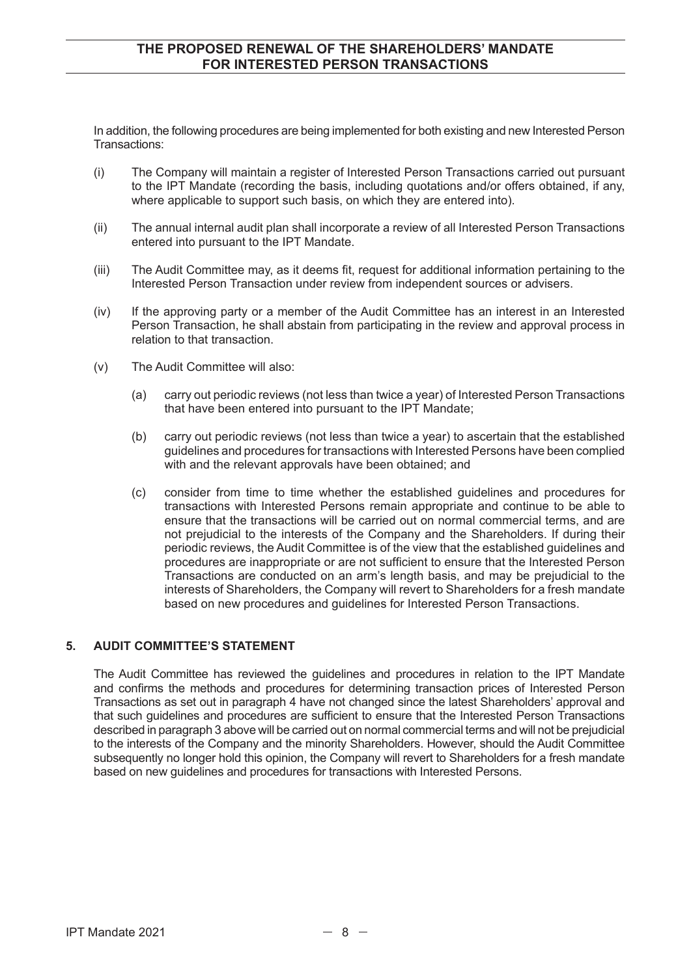In addition, the following procedures are being implemented for both existing and new Interested Person Transactions:

- (i) The Company will maintain a register of Interested Person Transactions carried out pursuant to the IPT Mandate (recording the basis, including quotations and/or offers obtained, if any, where applicable to support such basis, on which they are entered into).
- (ii) The annual internal audit plan shall incorporate a review of all Interested Person Transactions entered into pursuant to the IPT Mandate.
- (iii) The Audit Committee may, as it deems fit, request for additional information pertaining to the Interested Person Transaction under review from independent sources or advisers.
- (iv) If the approving party or a member of the Audit Committee has an interest in an Interested Person Transaction, he shall abstain from participating in the review and approval process in relation to that transaction.
- (v) The Audit Committee will also:
	- (a) carry out periodic reviews (not less than twice a year) of Interested Person Transactions that have been entered into pursuant to the IPT Mandate;
	- (b) carry out periodic reviews (not less than twice a year) to ascertain that the established guidelines and procedures for transactions with Interested Persons have been complied with and the relevant approvals have been obtained; and
	- (c) consider from time to time whether the established guidelines and procedures for transactions with Interested Persons remain appropriate and continue to be able to ensure that the transactions will be carried out on normal commercial terms, and are not prejudicial to the interests of the Company and the Shareholders. If during their periodic reviews, the Audit Committee is of the view that the established guidelines and procedures are inappropriate or are not sufficient to ensure that the Interested Person Transactions are conducted on an arm's length basis, and may be prejudicial to the interests of Shareholders, the Company will revert to Shareholders for a fresh mandate based on new procedures and guidelines for Interested Person Transactions.

#### **5. AUDIT COMMITTEE'S STATEMENT**

The Audit Committee has reviewed the guidelines and procedures in relation to the IPT Mandate and confirms the methods and procedures for determining transaction prices of Interested Person Transactions as set out in paragraph 4 have not changed since the latest Shareholders' approval and that such guidelines and procedures are sufficient to ensure that the Interested Person Transactions described in paragraph 3 above will be carried out on normal commercial terms and will not be prejudicial to the interests of the Company and the minority Shareholders. However, should the Audit Committee subsequently no longer hold this opinion, the Company will revert to Shareholders for a fresh mandate based on new guidelines and procedures for transactions with Interested Persons.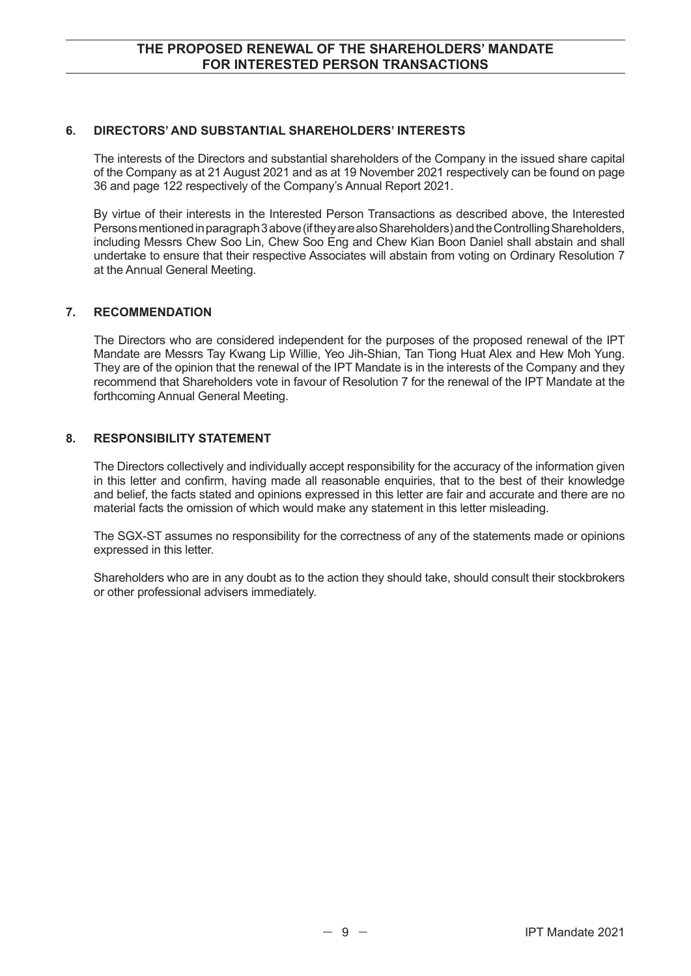#### **6. DIRECTORS' AND SUBSTANTIAL SHAREHOLDERS' INTERESTS**

The interests of the Directors and substantial shareholders of the Company in the issued share capital of the Company as at 21 August 2021 and as at 19 November 2021 respectively can be found on page 36 and page 122 respectively of the Company's Annual Report 2021.

By virtue of their interests in the Interested Person Transactions as described above, the Interested Persons mentioned in paragraph 3 above (if they are also Shareholders) and the Controlling Shareholders, including Messrs Chew Soo Lin, Chew Soo Eng and Chew Kian Boon Daniel shall abstain and shall undertake to ensure that their respective Associates will abstain from voting on Ordinary Resolution 7 at the Annual General Meeting.

#### **7. RECOMMENDATION**

The Directors who are considered independent for the purposes of the proposed renewal of the IPT Mandate are Messrs Tay Kwang Lip Willie, Yeo Jih-Shian, Tan Tiong Huat Alex and Hew Moh Yung. They are of the opinion that the renewal of the IPT Mandate is in the interests of the Company and they recommend that Shareholders vote in favour of Resolution 7 for the renewal of the IPT Mandate at the forthcoming Annual General Meeting.

#### **8. RESPONSIBILITY STATEMENT**

The Directors collectively and individually accept responsibility for the accuracy of the information given in this letter and confirm, having made all reasonable enquiries, that to the best of their knowledge and belief, the facts stated and opinions expressed in this letter are fair and accurate and there are no material facts the omission of which would make any statement in this letter misleading.

The SGX-ST assumes no responsibility for the correctness of any of the statements made or opinions expressed in this letter.

Shareholders who are in any doubt as to the action they should take, should consult their stockbrokers or other professional advisers immediately.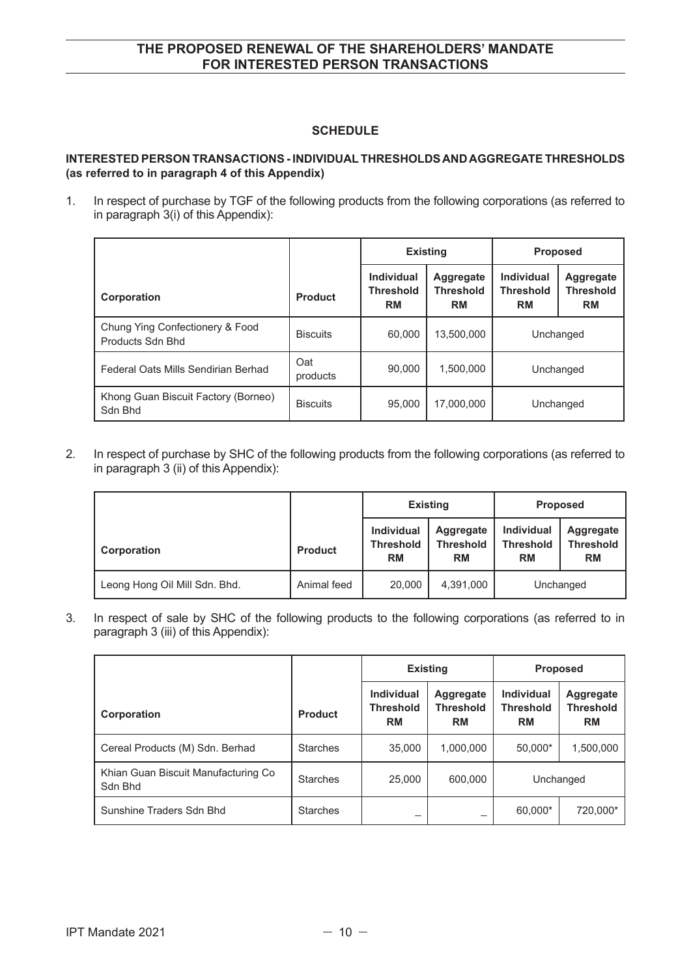#### **SCHEDULE**

#### **INTERESTED PERSON TRANSACTIONS - INDIVIDUAL THRESHOLDS AND AGGREGATE THRESHOLDS (as referred to in paragraph 4 of this Appendix)**

1. In respect of purchase by TGF of the following products from the following corporations (as referred to in paragraph 3(i) of this Appendix):

|                                                     |                 | <b>Existing</b>                             |                                            | <b>Proposed</b>                                    |                                                   |
|-----------------------------------------------------|-----------------|---------------------------------------------|--------------------------------------------|----------------------------------------------------|---------------------------------------------------|
| Corporation                                         | <b>Product</b>  | Individual<br><b>Threshold</b><br><b>RM</b> | Aggregate<br><b>Threshold</b><br><b>RM</b> | <b>Individual</b><br><b>Threshold</b><br><b>RM</b> | <b>Aggregate</b><br><b>Threshold</b><br><b>RM</b> |
| Chung Ying Confectionery & Food<br>Products Sdn Bhd | <b>Biscuits</b> | 60,000                                      | 13,500,000                                 | Unchanged                                          |                                                   |
| Federal Oats Mills Sendirian Berhad                 | Oat<br>products | 90.000                                      | 1,500,000                                  | Unchanged                                          |                                                   |
| Khong Guan Biscuit Factory (Borneo)<br>Sdn Bhd      | <b>Biscuits</b> | 95,000                                      | 17.000.000                                 | Unchanged                                          |                                                   |

2. In respect of purchase by SHC of the following products from the following corporations (as referred to in paragraph 3 (ii) of this Appendix):

|                               |                | <b>Existing</b>                                    |                                                   | <b>Proposed</b>                                    |                                            |
|-------------------------------|----------------|----------------------------------------------------|---------------------------------------------------|----------------------------------------------------|--------------------------------------------|
| Corporation                   | <b>Product</b> | <b>Individual</b><br><b>Threshold</b><br><b>RM</b> | <b>Aggregate</b><br><b>Threshold</b><br><b>RM</b> | <b>Individual</b><br><b>Threshold</b><br><b>RM</b> | Aggregate<br><b>Threshold</b><br><b>RM</b> |
| Leong Hong Oil Mill Sdn. Bhd. | Animal feed    | 20,000                                             | 4,391,000                                         | Unchanged                                          |                                            |

3. In respect of sale by SHC of the following products to the following corporations (as referred to in paragraph 3 (iii) of this Appendix):

|                                                |                 | <b>Existing</b>                                    |                                            | <b>Proposed</b>                                    |                                            |
|------------------------------------------------|-----------------|----------------------------------------------------|--------------------------------------------|----------------------------------------------------|--------------------------------------------|
| Corporation                                    | <b>Product</b>  | <b>Individual</b><br><b>Threshold</b><br><b>RM</b> | Aggregate<br><b>Threshold</b><br><b>RM</b> | <b>Individual</b><br><b>Threshold</b><br><b>RM</b> | Aggregate<br><b>Threshold</b><br><b>RM</b> |
| Cereal Products (M) Sdn. Berhad                | <b>Starches</b> | 35,000                                             | 1,000,000                                  | 50,000*                                            | 1,500,000                                  |
| Khian Guan Biscuit Manufacturing Co<br>Sdn Bhd | <b>Starches</b> | 25,000                                             | 600,000                                    | Unchanged                                          |                                            |
| Sunshine Traders Sdn Bhd                       | <b>Starches</b> |                                                    |                                            | 60,000*                                            | 720,000*                                   |